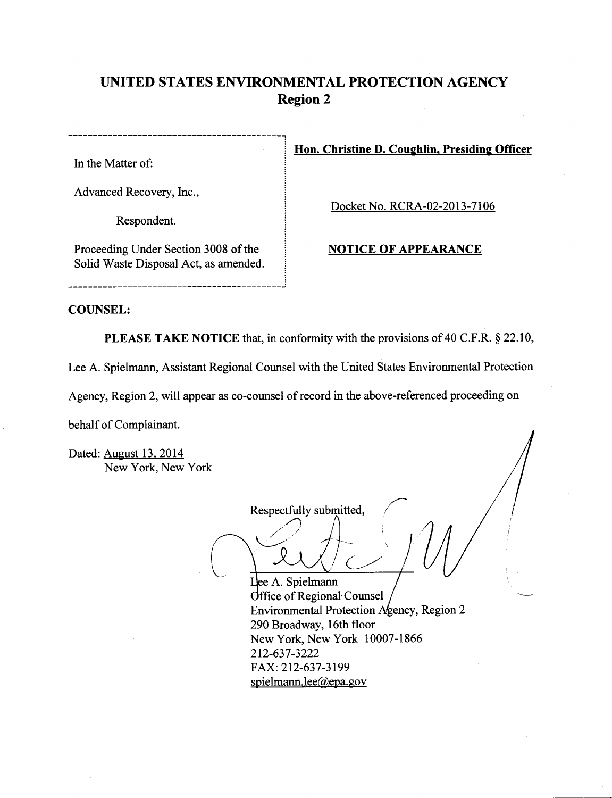# **UNITED STATES ENVIRONMENTAL PROTECTION AGENCY Region 2**

In the Matter of:

Advanced Recovery, Inc.,

Respondent.

Proceeding Under Section 3008 of the Solid Waste Disposal Act, as amended. **Hon. Christine D. Coughlin, Presiding Officer** 

Docket No. RCRA-02-2013-7106

## **NOTICE OF APPEARANCE**

## **COUNSEL:**

**PLEASE TAKE NOTICE** that, in conformity with the provisions of 40 C.F.R. § 22.10,

Lee A. Spielmann, Assistant Regional Counsel with the United States Environmental Protection

Agency, Region 2, will appear as co-counsel of record in the above-referenced proceeding on

behalf of Complainant.

Dated: August 13. 2014 New York, New York

 $\begin{pmatrix} 1 & 1 \\ 1 & 1 \end{pmatrix}$ Respectfully submitted,  $\bigwedge$ lespectfully  $\frac{1}{\sqrt{2}}$ ee A. Spielmann

Office of Regional Counsel Environmental Protection Agency, Region 2 290 Broadway, 16th floor New York, New York 10007-1866 212-637-3222 FAX: 212-637-3199 spielmann.lee@epa.gov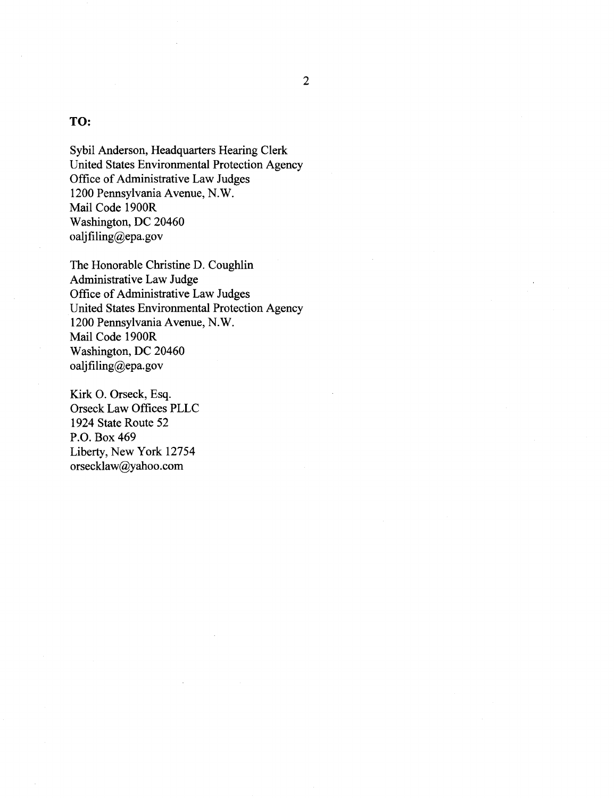# TO:

Sybil Anderson, Headquarters Hearing Clerk United States Environmental Protection Agency Office of Administrative Law Judges 1200 Pennsylvania Avenue, N.W. Mail Code 1900R Washington, DC 20460 oaljfiling@epa.gov

The Honorable Christine D. Coughlin Administrative Law Judge Office of Administrative Law Judges United States Environmental Protection Agency 1200 Pennsylvania Avenue, N.W. Mail Code 1900R Washington, DC 20460 oaljfiling@epa.gov

Kirk 0. Orseck, Esq. Orseck Law Offices PLLC 1924 State Route 52 P.O. Box469 Liberty, New York 12754 orsecklaw@yahoo.com